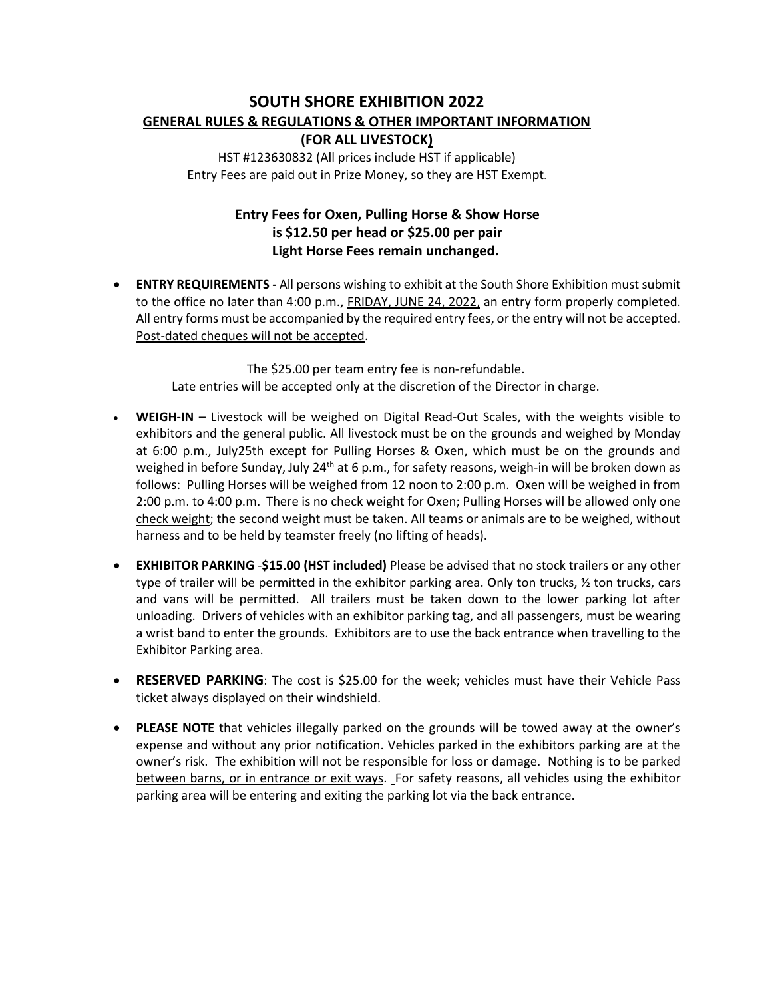# **SOUTH SHORE EXHIBITION 2022 GENERAL RULES & REGULATIONS & OTHER IMPORTANT INFORMATION (FOR ALL LIVESTOCK)**

HST #123630832 (All prices include HST if applicable) Entry Fees are paid out in Prize Money, so they are HST Exempt.

## **Entry Fees for Oxen, Pulling Horse & Show Horse is \$12.50 per head or \$25.00 per pair Light Horse Fees remain unchanged.**

• **ENTRY REQUIREMENTS -** All persons wishing to exhibit at the South Shore Exhibition must submit to the office no later than 4:00 p.m., FRIDAY, JUNE 24, 2022, an entry form properly completed. All entry forms must be accompanied by the required entry fees, or the entry will not be accepted. Post-dated cheques will not be accepted.

> The \$25.00 per team entry fee is non-refundable. Late entries will be accepted only at the discretion of the Director in charge.

- **WEIGH-IN** Livestock will be weighed on Digital Read-Out Scales, with the weights visible to exhibitors and the general public. All livestock must be on the grounds and weighed by Monday at 6:00 p.m., July25th except for Pulling Horses & Oxen, which must be on the grounds and weighed in before Sunday, July 24<sup>th</sup> at 6 p.m., for safety reasons, weigh-in will be broken down as follows: Pulling Horses will be weighed from 12 noon to 2:00 p.m. Oxen will be weighed in from 2:00 p.m. to 4:00 p.m. There is no check weight for Oxen; Pulling Horses will be allowed only one check weight; the second weight must be taken. All teams or animals are to be weighed, without harness and to be held by teamster freely (no lifting of heads).
- **EXHIBITOR PARKING** -**\$15.00 (HST included)** Please be advised that no stock trailers or any other type of trailer will be permitted in the exhibitor parking area. Only ton trucks, 1/2 ton trucks, cars and vans will be permitted. All trailers must be taken down to the lower parking lot after unloading. Drivers of vehicles with an exhibitor parking tag, and all passengers, must be wearing a wrist band to enter the grounds. Exhibitors are to use the back entrance when travelling to the Exhibitor Parking area.
- **RESERVED PARKING**: The cost is \$25.00 for the week; vehicles must have their Vehicle Pass ticket always displayed on their windshield.
- **PLEASE NOTE** that vehicles illegally parked on the grounds will be towed away at the owner's expense and without any prior notification. Vehicles parked in the exhibitors parking are at the owner's risk. The exhibition will not be responsible for loss or damage. Nothing is to be parked between barns, or in entrance or exit ways. For safety reasons, all vehicles using the exhibitor parking area will be entering and exiting the parking lot via the back entrance.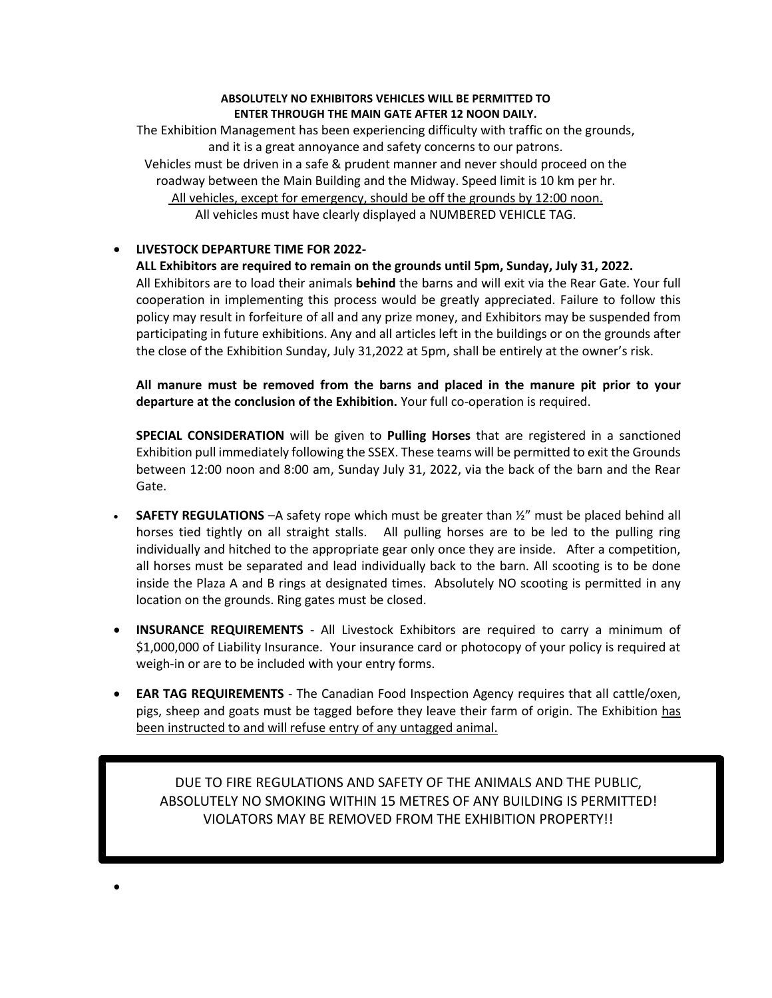#### **ABSOLUTELY NO EXHIBITORS VEHICLES WILL BE PERMITTED TO ENTER THROUGH THE MAIN GATE AFTER 12 NOON DAILY.**

The Exhibition Management has been experiencing difficulty with traffic on the grounds, and it is a great annoyance and safety concerns to our patrons. Vehicles must be driven in a safe & prudent manner and never should proceed on the roadway between the Main Building and the Midway. Speed limit is 10 km per hr. All vehicles, except for emergency, should be off the grounds by 12:00 noon. All vehicles must have clearly displayed a NUMBERED VEHICLE TAG.

## • **LIVESTOCK DEPARTURE TIME FOR 2022-**

•

**ALL Exhibitors are required to remain on the grounds until 5pm, Sunday, July 31, 2022.** All Exhibitors are to load their animals **behind** the barns and will exit via the Rear Gate. Your full cooperation in implementing this process would be greatly appreciated. Failure to follow this policy may result in forfeiture of all and any prize money, and Exhibitors may be suspended from participating in future exhibitions. Any and all articles left in the buildings or on the grounds after the close of the Exhibition Sunday, July 31,2022 at 5pm, shall be entirely at the owner's risk.

**All manure must be removed from the barns and placed in the manure pit prior to your departure at the conclusion of the Exhibition.** Your full co-operation is required.

**SPECIAL CONSIDERATION** will be given to **Pulling Horses** that are registered in a sanctioned Exhibition pull immediately following the SSEX. These teams will be permitted to exit the Grounds between 12:00 noon and 8:00 am, Sunday July 31, 2022, via the back of the barn and the Rear Gate.

- **SAFETY REGULATIONS** –A safety rope which must be greater than  $\frac{1}{2}$ " must be placed behind all horses tied tightly on all straight stalls. All pulling horses are to be led to the pulling ring individually and hitched to the appropriate gear only once they are inside. After a competition, all horses must be separated and lead individually back to the barn. All scooting is to be done inside the Plaza A and B rings at designated times. Absolutely NO scooting is permitted in any location on the grounds. Ring gates must be closed.
- **INSURANCE REQUIREMENTS** All Livestock Exhibitors are required to carry a minimum of \$1,000,000 of Liability Insurance. Your insurance card or photocopy of your policy is required at weigh-in or are to be included with your entry forms.
- **EAR TAG REQUIREMENTS** The Canadian Food Inspection Agency requires that all cattle/oxen, pigs, sheep and goats must be tagged before they leave their farm of origin. The Exhibition has been instructed to and will refuse entry of any untagged animal.

DUE TO FIRE REGULATIONS AND SAFETY OF THE ANIMALS AND THE PUBLIC, ABSOLUTELY NO SMOKING WITHIN 15 METRES OF ANY BUILDING IS PERMITTED! VIOLATORS MAY BE REMOVED FROM THE EXHIBITION PROPERTY!!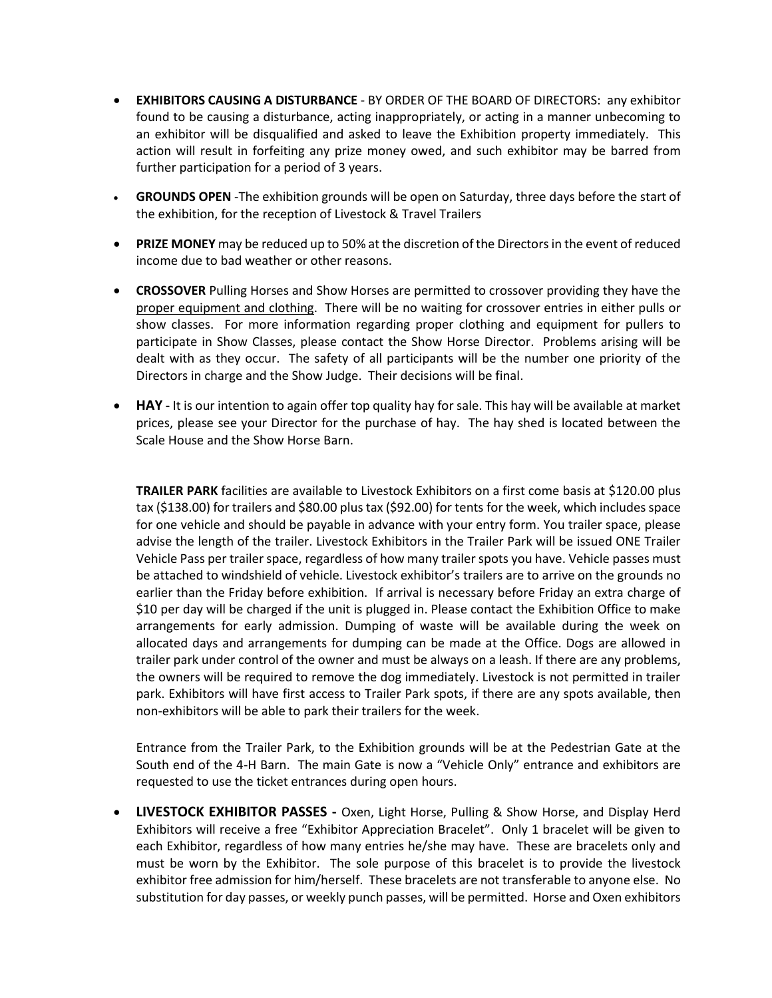- **EXHIBITORS CAUSING A DISTURBANCE**  BY ORDER OF THE BOARD OF DIRECTORS: any exhibitor found to be causing a disturbance, acting inappropriately, or acting in a manner unbecoming to an exhibitor will be disqualified and asked to leave the Exhibition property immediately. This action will result in forfeiting any prize money owed, and such exhibitor may be barred from further participation for a period of 3 years.
- **GROUNDS OPEN** -The exhibition grounds will be open on Saturday, three days before the start of the exhibition, for the reception of Livestock & Travel Trailers
- **PRIZE MONEY** may be reduced up to 50% at the discretion of the Directors in the event of reduced income due to bad weather or other reasons.
- **CROSSOVER** Pulling Horses and Show Horses are permitted to crossover providing they have the proper equipment and clothing. There will be no waiting for crossover entries in either pulls or show classes. For more information regarding proper clothing and equipment for pullers to participate in Show Classes, please contact the Show Horse Director. Problems arising will be dealt with as they occur. The safety of all participants will be the number one priority of the Directors in charge and the Show Judge. Their decisions will be final.
- **HAY -** It is our intention to again offer top quality hay for sale. This hay will be available at market prices, please see your Director for the purchase of hay. The hay shed is located between the Scale House and the Show Horse Barn.

**TRAILER PARK** facilities are available to Livestock Exhibitors on a first come basis at \$120.00 plus tax (\$138.00) for trailers and \$80.00 plus tax (\$92.00) for tents for the week, which includes space for one vehicle and should be payable in advance with your entry form. You trailer space, please advise the length of the trailer. Livestock Exhibitors in the Trailer Park will be issued ONE Trailer Vehicle Pass per trailer space, regardless of how many trailer spots you have. Vehicle passes must be attached to windshield of vehicle. Livestock exhibitor's trailers are to arrive on the grounds no earlier than the Friday before exhibition. If arrival is necessary before Friday an extra charge of \$10 per day will be charged if the unit is plugged in. Please contact the Exhibition Office to make arrangements for early admission. Dumping of waste will be available during the week on allocated days and arrangements for dumping can be made at the Office. Dogs are allowed in trailer park under control of the owner and must be always on a leash. If there are any problems, the owners will be required to remove the dog immediately. Livestock is not permitted in trailer park. Exhibitors will have first access to Trailer Park spots, if there are any spots available, then non-exhibitors will be able to park their trailers for the week.

Entrance from the Trailer Park, to the Exhibition grounds will be at the Pedestrian Gate at the South end of the 4-H Barn. The main Gate is now a "Vehicle Only" entrance and exhibitors are requested to use the ticket entrances during open hours.

• **LIVESTOCK EXHIBITOR PASSES -** Oxen, Light Horse, Pulling & Show Horse, and Display Herd Exhibitors will receive a free "Exhibitor Appreciation Bracelet". Only 1 bracelet will be given to each Exhibitor, regardless of how many entries he/she may have. These are bracelets only and must be worn by the Exhibitor. The sole purpose of this bracelet is to provide the livestock exhibitor free admission for him/herself. These bracelets are not transferable to anyone else. No substitution for day passes, or weekly punch passes, will be permitted. Horse and Oxen exhibitors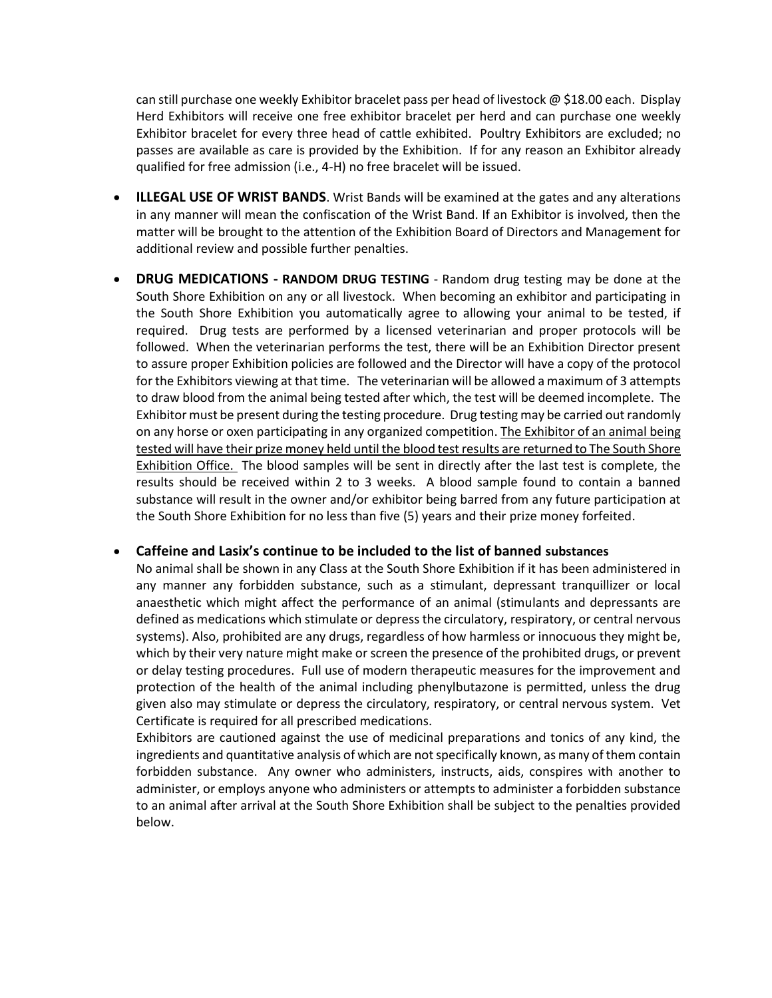can still purchase one weekly Exhibitor bracelet pass per head of livestock  $\omega$  \$18.00 each. Display Herd Exhibitors will receive one free exhibitor bracelet per herd and can purchase one weekly Exhibitor bracelet for every three head of cattle exhibited. Poultry Exhibitors are excluded; no passes are available as care is provided by the Exhibition. If for any reason an Exhibitor already qualified for free admission (i.e., 4-H) no free bracelet will be issued.

- **ILLEGAL USE OF WRIST BANDS**. Wrist Bands will be examined at the gates and any alterations in any manner will mean the confiscation of the Wrist Band. If an Exhibitor is involved, then the matter will be brought to the attention of the Exhibition Board of Directors and Management for additional review and possible further penalties.
- **DRUG MEDICATIONS - RANDOM DRUG TESTING** Random drug testing may be done at the South Shore Exhibition on any or all livestock. When becoming an exhibitor and participating in the South Shore Exhibition you automatically agree to allowing your animal to be tested, if required. Drug tests are performed by a licensed veterinarian and proper protocols will be followed. When the veterinarian performs the test, there will be an Exhibition Director present to assure proper Exhibition policies are followed and the Director will have a copy of the protocol for the Exhibitors viewing at that time. The veterinarian will be allowed a maximum of 3 attempts to draw blood from the animal being tested after which, the test will be deemed incomplete. The Exhibitor must be present during the testing procedure. Drug testing may be carried out randomly on any horse or oxen participating in any organized competition. The Exhibitor of an animal being tested will have their prize money held until the blood test results are returned to The South Shore Exhibition Office. The blood samples will be sent in directly after the last test is complete, the results should be received within 2 to 3 weeks. A blood sample found to contain a banned substance will result in the owner and/or exhibitor being barred from any future participation at the South Shore Exhibition for no less than five (5) years and their prize money forfeited.

#### • **Caffeine and Lasix's continue to be included to the list of banned substances**

No animal shall be shown in any Class at the South Shore Exhibition if it has been administered in any manner any forbidden substance, such as a stimulant, depressant tranquillizer or local anaesthetic which might affect the performance of an animal (stimulants and depressants are defined as medications which stimulate or depress the circulatory, respiratory, or central nervous systems). Also, prohibited are any drugs, regardless of how harmless or innocuous they might be, which by their very nature might make or screen the presence of the prohibited drugs, or prevent or delay testing procedures. Full use of modern therapeutic measures for the improvement and protection of the health of the animal including phenylbutazone is permitted, unless the drug given also may stimulate or depress the circulatory, respiratory, or central nervous system. Vet Certificate is required for all prescribed medications.

Exhibitors are cautioned against the use of medicinal preparations and tonics of any kind, the ingredients and quantitative analysis of which are not specifically known, as many of them contain forbidden substance. Any owner who administers, instructs, aids, conspires with another to administer, or employs anyone who administers or attempts to administer a forbidden substance to an animal after arrival at the South Shore Exhibition shall be subject to the penalties provided below.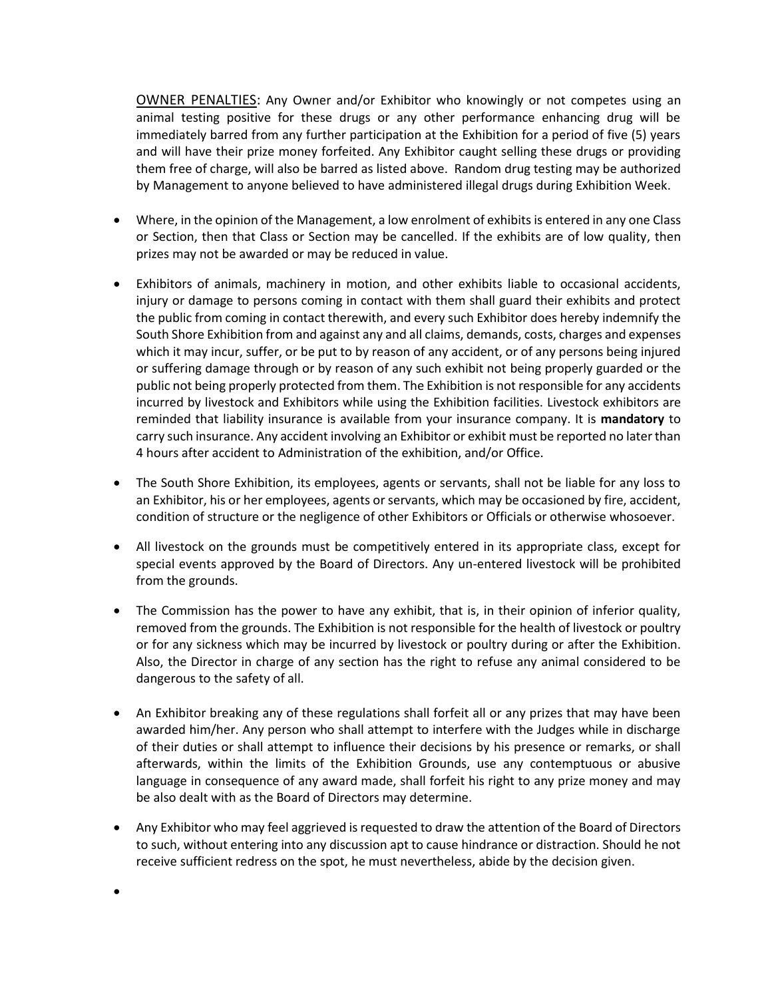OWNER PENALTIES: Any Owner and/or Exhibitor who knowingly or not competes using an animal testing positive for these drugs or any other performance enhancing drug will be immediately barred from any further participation at the Exhibition for a period of five (5) years and will have their prize money forfeited. Any Exhibitor caught selling these drugs or providing them free of charge, will also be barred as listed above. Random drug testing may be authorized by Management to anyone believed to have administered illegal drugs during Exhibition Week.

- Where, in the opinion of the Management, a low enrolment of exhibits is entered in any one Class or Section, then that Class or Section may be cancelled. If the exhibits are of low quality, then prizes may not be awarded or may be reduced in value.
- Exhibitors of animals, machinery in motion, and other exhibits liable to occasional accidents, injury or damage to persons coming in contact with them shall guard their exhibits and protect the public from coming in contact therewith, and every such Exhibitor does hereby indemnify the South Shore Exhibition from and against any and all claims, demands, costs, charges and expenses which it may incur, suffer, or be put to by reason of any accident, or of any persons being injured or suffering damage through or by reason of any such exhibit not being properly guarded or the public not being properly protected from them. The Exhibition is not responsible for any accidents incurred by livestock and Exhibitors while using the Exhibition facilities. Livestock exhibitors are reminded that liability insurance is available from your insurance company. It is **mandatory** to carry such insurance. Any accident involving an Exhibitor or exhibit must be reported no later than 4 hours after accident to Administration of the exhibition, and/or Office.
- The South Shore Exhibition, its employees, agents or servants, shall not be liable for any loss to an Exhibitor, his or her employees, agents or servants, which may be occasioned by fire, accident, condition of structure or the negligence of other Exhibitors or Officials or otherwise whosoever.
- All livestock on the grounds must be competitively entered in its appropriate class, except for special events approved by the Board of Directors. Any un-entered livestock will be prohibited from the grounds.
- The Commission has the power to have any exhibit, that is, in their opinion of inferior quality, removed from the grounds. The Exhibition is not responsible for the health of livestock or poultry or for any sickness which may be incurred by livestock or poultry during or after the Exhibition. Also, the Director in charge of any section has the right to refuse any animal considered to be dangerous to the safety of all.
- An Exhibitor breaking any of these regulations shall forfeit all or any prizes that may have been awarded him/her. Any person who shall attempt to interfere with the Judges while in discharge of their duties or shall attempt to influence their decisions by his presence or remarks, or shall afterwards, within the limits of the Exhibition Grounds, use any contemptuous or abusive language in consequence of any award made, shall forfeit his right to any prize money and may be also dealt with as the Board of Directors may determine.
- Any Exhibitor who may feel aggrieved is requested to draw the attention of the Board of Directors to such, without entering into any discussion apt to cause hindrance or distraction. Should he not receive sufficient redress on the spot, he must nevertheless, abide by the decision given.

•